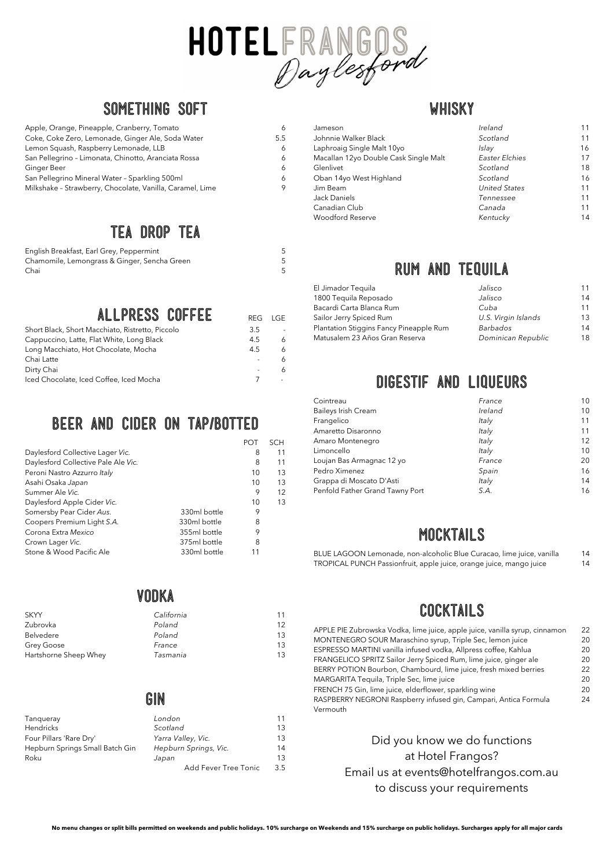**No menu changes or split bills permitted on weekends and public holidays. 10% surcharge on Weekends and 15% surcharge on public holidays. Surcharges apply for all major cards**



#### **SomethIng soft**

| Apple, Orange, Pineapple, Cranberry, Tomato               | 6   |
|-----------------------------------------------------------|-----|
| Coke, Coke Zero, Lemonade, Ginger Ale, Soda Water         | 5.5 |
| Lemon Squash, Raspberry Lemonade, LLB                     | 6   |
| San Pellegrino - Limonata, Chinotto, Aranciata Rossa      | 6   |
| Ginger Beer                                               | 6   |
| San Pellegrino Mineral Water - Sparkling 500ml            | 6   |
| Milkshake - Strawberry, Chocolate, Vanilla, Caramel, Lime | 9   |

#### **Tea drop TEA**

| English Breakfast, Earl Grey, Peppermint     |  |
|----------------------------------------------|--|
| Chamomile, Lemongrass & Ginger, Sencha Green |  |
| Chai                                         |  |

# **ALLPRESS COFFEE** REG LGE

| Short Black, Short Macchiato, Ristretto, Piccolo | २ ५ |   |
|--------------------------------------------------|-----|---|
| Cappuccino, Latte, Flat White, Long Black        | 4.5 | 6 |
| Long Macchiato, Hot Chocolate, Mocha             | 4.5 | 6 |
| Chai Latte                                       |     | 6 |
| Dirty Chai                                       |     | 6 |
| Iced Chocolate, Iced Coffee, Iced Mocha          |     |   |

#### **BEER and cider ON TAP/BOTTED**

|                                     |              | <b>POT</b> | <b>SCH</b> |
|-------------------------------------|--------------|------------|------------|
| Daylesford Collective Lager Vic.    |              | 8          | 11         |
| Daylesford Collective Pale Ale Vic. |              | 8          | 11         |
| Peroni Nastro Azzurro Italy         |              | 10         | 13         |
| Asahi Osaka Japan                   |              | 10         | 13         |
| Summer Ale Vic.                     |              | 9          | 12         |
| Daylesford Apple Cider Vic.         |              | 10         | 13         |
| Somersby Pear Cider Aus.            | 330ml bottle | 9          |            |
| Coopers Premium Light S.A.          | 330ml bottle | 8          |            |
| Corona Extra Mexico                 | 355ml bottle | 9          |            |
| Crown Lager Vic.                    | 375ml bottle | 8          |            |
| Stone & Wood Pacific Ale            | 330ml bottle | 11         |            |
|                                     |              |            |            |

#### **VODKA**

#### 14  $\overline{A}$

| <b>SKYY</b>           | California | 11 |
|-----------------------|------------|----|
| Zubrovka              | Poland     | 12 |
| <b>Belvedere</b>      | Poland     | 13 |
| Grey Goose            | France     | 13 |
| Hartshorne Sheep Whey | Tasmania   | 13 |

| GIN |  |
|-----|--|
|-----|--|

| Tanqueray                       | London                | 11  |
|---------------------------------|-----------------------|-----|
| Hendricks                       | Scotland              | 13  |
| Four Pillars 'Rare Dry'         | Yarra Valley, Vic.    | 13  |
| Hepburn Springs Small Batch Gin | Hepburn Springs, Vic. | 14  |
| Roku                            | Japan                 | 13  |
|                                 | Add Fever Tree Tonic  | 3.5 |

#### **WHISKY**

| Jameson                               | Ireland              | 11 |
|---------------------------------------|----------------------|----|
| Johnnie Walker Black                  | Scotland             | 11 |
| Laphroaig Single Malt 10yo            | Islay                | 16 |
| Macallan 12yo Double Cask Single Malt | Easter Elchies       | 17 |
| Glenlivet                             | Scotland             | 18 |
| Oban 14yo West Highland               | Scotland             | 16 |
| Jim Beam                              | <b>United States</b> | 11 |
| Jack Daniels                          | Tennessee            | 11 |
| Canadian Club                         | Canada               | 11 |
| <b>Woodford Reserve</b>               | Kentucky             | 14 |

#### **RUM AND TEQUILA**

| El Jimador Tequila                      | Jalisco             | 11 |
|-----------------------------------------|---------------------|----|
| 1800 Tequila Reposado                   | Jalisco             | 14 |
| Bacardi Carta Blanca Rum                | Cuba                | 11 |
| Sailor Jerry Spiced Rum                 | U.S. Virgin Islands | 13 |
| Plantation Stiggins Fancy Pineapple Rum | Barbados            | 14 |
| Matusalem 23 Años Gran Reserva          | Dominican Republic  | 18 |

#### **DIGESTIF AND LIQUEURS**

| Cointreau                       | France  | 10                |
|---------------------------------|---------|-------------------|
| <b>Baileys Irish Cream</b>      | Ireland | 10                |
| Frangelico                      | Italy   | 11                |
| Amaretto Disaronno              | Italy   | 11                |
| Amaro Montenegro                | Italy   | $12 \overline{ }$ |
| Limoncello                      | Italy   | 10                |
| Loujan Bas Armagnac 12 yo       | France  | 20                |
| Pedro Ximenez                   | Spain   | 16                |
| Grappa di Moscato D'Asti        | Italy   | 14                |
| Penfold Father Grand Tawny Port | S.A.    | 16                |

#### **MOCKTAILS**

| BLUE LAGOON Lemonade, non-alcoholic Blue Curacao, lime juice, vanilla |  |
|-----------------------------------------------------------------------|--|
| TROPICAL PUNCH Passionfruit, apple juice, orange juice, mango juice   |  |

### **COCKTAILS**

APPLE PIE Zubrowska Vodka, lime juice, apple juice, vanilla syrup, cinnamon 22 MONTENEGRO SOUR Maraschino syrup, Triple Sec, lemon juice 20 ESPRESSO MARTINI vanilla infused vodka, Allpress coffee, Kahlua 20

| Tangueray                       |
|---------------------------------|
| Hendricks                       |
| Four Pillars 'Rare Dry'         |
| Hepburn Springs Small Batch Gin |
| Roku                            |
|                                 |

FRANGELICO SPRITZ Sailor Jerry Spiced Rum, lime juice, ginger ale 20 BERRY POTION Bourbon, Chambourd, lime juice, fresh mixed berries 22 MARGARITA Tequila, Triple Sec, lime juice 20 FRENCH 75 Gin, lime juice, elderflower, sparkling wine 20 RASPBERRY NEGRONI Raspberry infused gin, Campari, Antica Formula Vermouth

Did you know we do functions at Hotel Frangos? Email us at events@hotelfrangos.com.au to discuss your requirements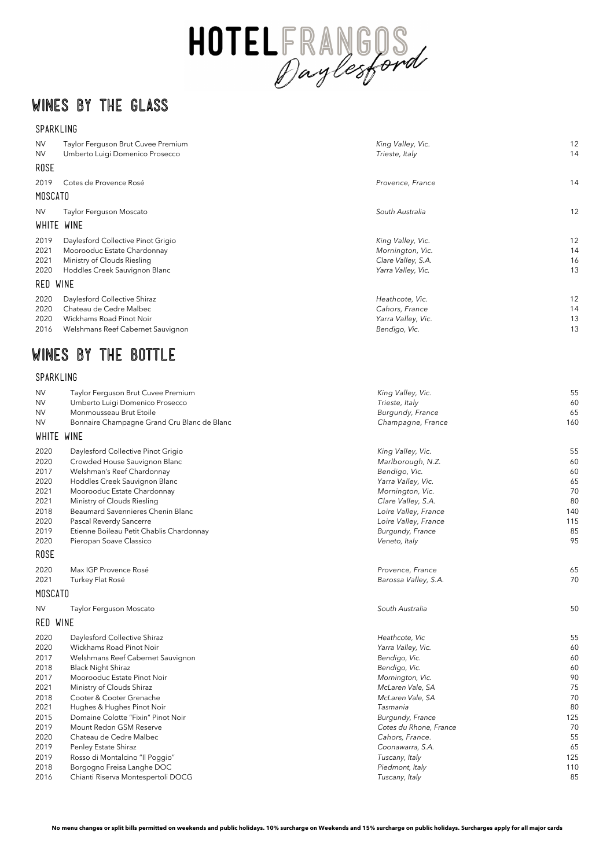**No menu changes or split bills permitted on weekends and public holidays. 10% surcharge on Weekends and 15% surcharge on public holidays. Surcharges apply for all major cards**



## **WINES BY THE GLASS**

#### SPARKLING

| <b>NV</b><br><b>NV</b> | Taylor Ferguson Brut Cuvee Premium<br>Umberto Luigi Domenico Prosecco | King Valley, Vic.<br>Trieste, Italy    | 12<br>14 |
|------------------------|-----------------------------------------------------------------------|----------------------------------------|----------|
| <b>ROSE</b>            |                                                                       |                                        |          |
|                        |                                                                       |                                        |          |
| 2019                   | Cotes de Provence Rosé                                                | Provence, France                       | 14       |
| <b>MOSCATO</b>         |                                                                       |                                        |          |
| <b>NV</b>              | Taylor Ferguson Moscato                                               | South Australia                        | 12       |
| WHITE WINE             |                                                                       |                                        |          |
| 2019                   | Daylesford Collective Pinot Grigio                                    | King Valley, Vic.                      | 12       |
| 2021                   | Moorooduc Estate Chardonnay                                           | Mornington, Vic.                       | 14       |
| 2021                   | Ministry of Clouds Riesling                                           | Clare Valley, S.A.                     | 16       |
| 2020                   | Hoddles Creek Sauvignon Blanc                                         | Yarra Valley, Vic.                     | 13       |
| RED                    | <b>WINE</b>                                                           |                                        |          |
| 2020                   | Daylesford Collective Shiraz                                          | Heathcote, Vic.                        | 12       |
| 2020                   | Chateau de Cedre Malbec                                               | Cahors, France                         | 14       |
| 2020                   | Wickhams Road Pinot Noir                                              | Yarra Valley, Vic.                     | 13       |
| 2016                   | Welshmans Reef Cabernet Sauvignon                                     | Bendigo, Vic.                          | 13       |
| WINES                  | BY<br>THE<br>BOTTLE                                                   |                                        |          |
|                        |                                                                       |                                        |          |
| SPARKLING              |                                                                       |                                        |          |
| <b>NV</b>              | Taylor Ferguson Brut Cuvee Premium                                    | King Valley, Vic.                      | 55       |
| <b>NV</b>              | Umberto Luigi Domenico Prosecco                                       | Trieste, Italy                         | 60       |
| <b>NV</b>              | Monmousseau Brut Etoile                                               | Burgundy, France                       | 65       |
| <b>NV</b>              | Bonnaire Champagne Grand Cru Blanc de Blanc                           | Champagne, France                      | 160      |
| WHITE                  | <b>WINE</b>                                                           |                                        |          |
| 2020                   | Daylesford Collective Pinot Grigio                                    | King Valley, Vic.                      | 55       |
| 2020                   | Crowded House Sauvignon Blanc                                         | Marlborough, N.Z.                      | 60       |
| 2017                   | Welshman's Reef Chardonnay                                            | Bendigo, Vic.                          | 60       |
| 2020                   | Hoddles Creek Sauvignon Blanc                                         | Yarra Valley, Vic.                     | 65       |
| 2021<br>2021           | Moorooduc Estate Chardonnay<br>Ministry of Clouds Riesling            | Mornington, Vic.<br>Clare Valley, S.A. | 70<br>80 |
| 2018                   | Beaumard Savennieres Chenin Blanc                                     | Loire Valley, France                   | 140      |
| 2020                   | Pascal Reverdy Sancerre                                               | Loire Valley, France                   | 115      |
| 2019                   | Etienne Boileau Petit Chablis Chardonnay                              | Burgundy, France                       | 85       |
| 2020                   | Pieropan Soave Classico                                               | Veneto, Italy                          | 95       |
| <b>ROSE</b>            |                                                                       |                                        |          |
| 2020                   | Max IGP Provence Rosé                                                 | Provence, France                       | 65       |
| 2021                   | Turkey Flat Rosé                                                      | Barossa Valley, S.A.                   | 70       |
| <b>MOSCATO</b>         |                                                                       |                                        |          |
| <b>NV</b>              | Taylor Ferguson Moscato                                               | South Australia                        | 50       |
| RED WINE               |                                                                       |                                        |          |
| 2020                   | Daylesford Collective Shiraz                                          | Heathcote, Vic                         | 55       |
| 2020                   | Wickhams Road Pinot Noir                                              | Yarra Valley, Vic.                     | 60       |

| 2017 | Welshmans Reef Cabernet Sauvignon  | Bendigo, Vic.          | 60  |
|------|------------------------------------|------------------------|-----|
| 2018 | <b>Black Night Shiraz</b>          | Bendigo, Vic.          | 60  |
| 2017 | Moorooduc Estate Pinot Noir        | Mornington, Vic.       | 90  |
| 2021 | Ministry of Clouds Shiraz          | McLaren Vale, SA       | 75  |
| 2018 | Cooter & Cooter Grenache           | McLaren Vale, SA       | 70  |
| 2021 | Hughes & Hughes Pinot Noir         | Tasmania               | 80  |
| 2015 | Domaine Colotte "Fixin" Pinot Noir | Burgundy, France       | 125 |
| 2019 | Mount Redon GSM Reserve            | Cotes du Rhone, France | 70  |
| 2020 | Chateau de Cedre Malbec            | Cahors, France.        | 55  |
| 2019 | Penley Estate Shiraz               | Coonawarra, S.A.       | 65  |
| 2019 | Rosso di Montalcino "Il Poggio"    | Tuscany, Italy         | 125 |
| 2018 | Borgogno Freisa Langhe DOC         | Piedmont, Italy        | 110 |
| 2016 | Chianti Riserva Montespertoli DOCG | Tuscany, Italy         | 85  |
|      |                                    |                        |     |